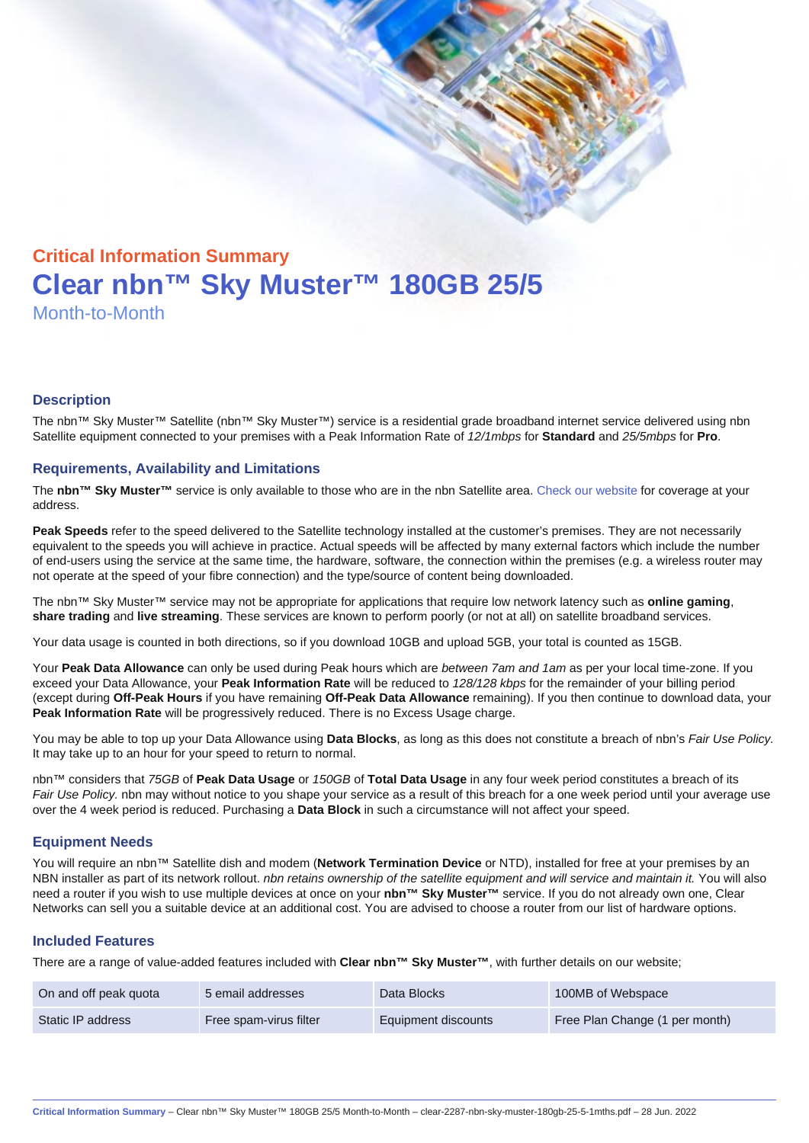# Critical Information Summary Clear nbn™ Sky Muster™ 180GB 25/5 Month-to-Month

#### **Description**

The nbn™ Sky Muster™ Satellite (nbn™ Sky Muster™) service is a residential grade broadband internet service delivered using nbn Satellite equipment connected to your premises with a Peak Information Rate of 12/1mbps for Standard and 25/5mbps for Pro.

#### Requirements, Availability and Limitations

The nbn™ Sky Muster™ service is only available to those who are in the nbn Satellite area. [Check our website](https://www.clear.com.au/business/nbn-sky-muster/availability-coverage/) for coverage at your address.

Peak Speeds refer to the speed delivered to the Satellite technology installed at the customer's premises. They are not necessarily equivalent to the speeds you will achieve in practice. Actual speeds will be affected by many external factors which include the number of end-users using the service at the same time, the hardware, software, the connection within the premises (e.g. a wireless router may not operate at the speed of your fibre connection) and the type/source of content being downloaded.

The nbn™ Sky Muster™ service may not be appropriate for applications that require low network latency such as online gaming , share trading and live streaming . These services are known to perform poorly (or not at all) on satellite broadband services.

Your data usage is counted in both directions, so if you download 10GB and upload 5GB, your total is counted as 15GB.

Your Peak Data Allowance can only be used during Peak hours which are between 7am and 1am as per your local time-zone. If you exceed your Data Allowance, your Peak Information Rate will be reduced to 128/128 kbps for the remainder of your billing period (except during Off-Peak Hours if you have remaining Off-Peak Data Allowance remaining). If you then continue to download data, your Peak Information Rate will be progressively reduced. There is no Excess Usage charge.

You may be able to top up your Data Allowance using Data Blocks , as long as this does not constitute a breach of nbn's Fair Use Policy. It may take up to an hour for your speed to return to normal.

nbn™ considers that 75GB of Peak Data Usage or 150GB of Total Data Usage in any four week period constitutes a breach of its Fair Use Policy. nbn may without notice to you shape your service as a result of this breach for a one week period until your average use over the 4 week period is reduced. Purchasing a Data Block in such a circumstance will not affect your speed.

#### Equipment Needs

You will require an nbn™ Satellite dish and modem (Network Termination Device or NTD), installed for free at your premises by an NBN installer as part of its network rollout. nbn retains ownership of the satellite equipment and will service and maintain it. You will also need a router if you wish to use multiple devices at once on your nbn™ Sky Muster™ service. If you do not already own one, Clear Networks can sell you a suitable device at an additional cost. You are advised to choose a router from our list of hardware options.

#### Included Features

There are a range of value-added features included with Clear nbn™ Sky Muster™ , with further details on our website;

| On and off peak quota | 5 email addresses      | Data Blocks         | 100MB of Webspace              |
|-----------------------|------------------------|---------------------|--------------------------------|
| Static IP address     | Free spam-virus filter | Equipment discounts | Free Plan Change (1 per month) |